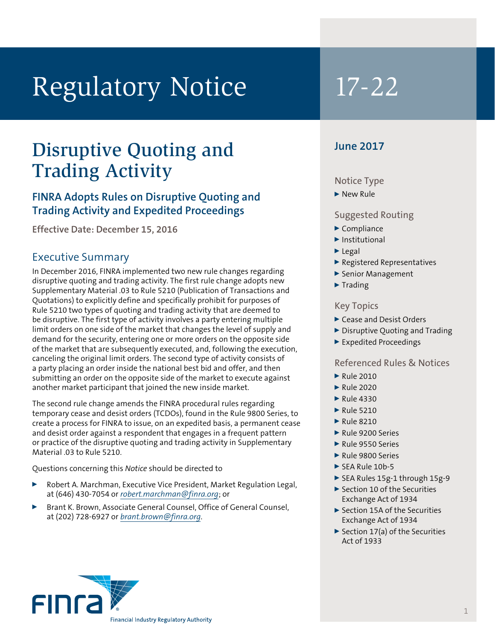# Regulatory Notice 17-22

## Disruptive Quoting and Trading Activity

### **FINRA Adopts Rules on Disruptive Quoting and Trading Activity and Expedited Proceedings**

**Effective Date: December 15, 2016**

#### Executive Summary

In December 2016, FINRA implemented two new rule changes regarding disruptive quoting and trading activity. The first rule change adopts new Supplementary Material .03 to Rule 5210 (Publication of Transactions and Quotations) to explicitly define and specifically prohibit for purposes of Rule 5210 two types of quoting and trading activity that are deemed to be disruptive. The first type of activity involves a party entering multiple limit orders on one side of the market that changes the level of supply and demand for the security, entering one or more orders on the opposite side of the market that are subsequently executed, and, following the execution, canceling the original limit orders. The second type of activity consists of a party placing an order inside the national best bid and offer, and then submitting an order on the opposite side of the market to execute against another market participant that joined the new inside market.

The second rule change amends the FINRA procedural rules regarding temporary cease and desist orders (TCDOs), found in the Rule 9800 Series, to create a process for FINRA to issue, on an expedited basis, a permanent cease and desist order against a respondent that engages in a frequent pattern or practice of the disruptive quoting and trading activity in Supplementary Material .03 to Rule 5210.

Questions concerning this *Notice* should be directed to

- Robert A. Marchman, Executive Vice President, Market Regulation Legal, at (646) 430-7054 or *robert.marchman@finra.org*; or
- Brant K. Brown, Associate General Counsel, Office of General Counsel, at (202) 728-6927 or *brant.brown@finra.org*.

### **June 2017**

#### Notice Type

#### $\blacktriangleright$  New Rule

#### Suggested Routing

- $\blacktriangleright$  Compliance
- $\blacktriangleright$  Institutional
- $\blacktriangleright$  Legal
- <sup>0</sup> Registered Representatives
- ▶ Senior Management
- $\blacktriangleright$  Trading

#### Key Topics

- ▶ Cease and Desist Orders
- $\triangleright$  Disruptive Ouoting and Trading
- <sup>0</sup> Expedited Proceedings

#### Referenced Rules & Notices

- $\blacktriangleright$  Rule 2010
- $\blacktriangleright$  Rule 2020
- $\blacktriangleright$  Rule 4330
- $\blacktriangleright$  Rule 5210
- $\blacktriangleright$  Rule 8210
- Rule 9200 Series
- $\blacktriangleright$  Rule 9550 Series
- Rule 9800 Series
- $\blacktriangleright$  SEA Rule 10b-5
- ▶ SEA Rules 15g-1 through 15g-9
- $\blacktriangleright$  Section 10 of the Securities Exchange Act of 1934
- ▶ Section 15A of the Securities Exchange Act of 1934
- $\triangleright$  Section 17(a) of the Securities Act of 1933

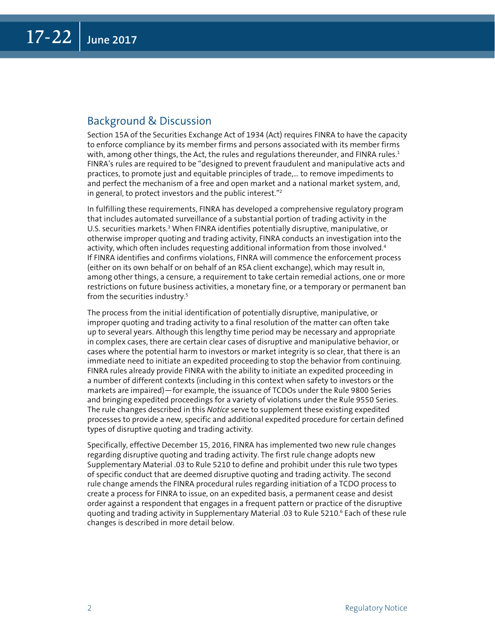#### Background & Discussion

Section 15A of the Securities Exchange Act of 1934 (Act) requires FINRA to have the capacity to enforce compliance by its member firms and persons associated with its member firms with, among other things, the Act, the rules and regulations thereunder, and FINRA rules. $1$ FINRA's rules are required to be "designed to prevent fraudulent and manipulative acts and practices, to promote just and equitable principles of trade,… to remove impediments to and perfect the mechanism of a free and open market and a national market system, and, in general, to protect investors and the public interest."2

In fulfilling these requirements, FINRA has developed a comprehensive regulatory program that includes automated surveillance of a substantial portion of trading activity in the U.S. securities markets.<sup>3</sup> When FINRA identifies potentially disruptive, manipulative, or otherwise improper quoting and trading activity, FINRA conducts an investigation into the activity, which often includes requesting additional information from those involved.<sup>4</sup> If FINRA identifies and confirms violations, FINRA will commence the enforcement process (either on its own behalf or on behalf of an RSA client exchange), which may result in, among other things, a censure, a requirement to take certain remedial actions, one or more restrictions on future business activities, a monetary fine, or a temporary or permanent ban from the securities industry.<sup>5</sup>

The process from the initial identification of potentially disruptive, manipulative, or improper quoting and trading activity to a final resolution of the matter can often take up to several years. Although this lengthy time period may be necessary and appropriate in complex cases, there are certain clear cases of disruptive and manipulative behavior, or cases where the potential harm to investors or market integrity is so clear, that there is an immediate need to initiate an expedited proceeding to stop the behavior from continuing. FINRA rules already provide FINRA with the ability to initiate an expedited proceeding in a number of different contexts (including in this context when safety to investors or the markets are impaired)—for example, the issuance of TCDOs under the Rule 9800 Series and bringing expedited proceedings for a variety of violations under the Rule 9550 Series. The rule changes described in this *Notice* serve to supplement these existing expedited processes to provide a new, specific and additional expedited procedure for certain defined types of disruptive quoting and trading activity.

Specifically, effective December 15, 2016, FINRA has implemented two new rule changes regarding disruptive quoting and trading activity. The first rule change adopts new Supplementary Material .03 to Rule 5210 to define and prohibit under this rule two types of specific conduct that are deemed disruptive quoting and trading activity. The second rule change amends the FINRA procedural rules regarding initiation of a TCDO process to create a process for FINRA to issue, on an expedited basis, a permanent cease and desist order against a respondent that engages in a frequent pattern or practice of the disruptive quoting and trading activity in Supplementary Material .03 to Rule 5210.6 Each of these rule changes is described in more detail below.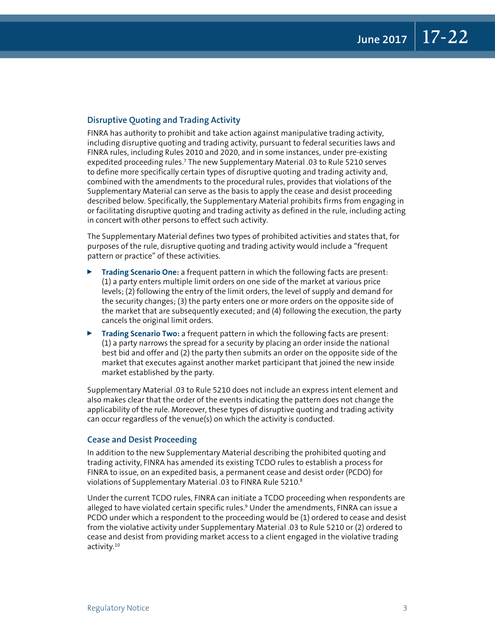#### **Disruptive Quoting and Trading Activity**

FINRA has authority to prohibit and take action against manipulative trading activity, including disruptive quoting and trading activity, pursuant to federal securities laws and FINRA rules, including Rules 2010 and 2020, and in some instances, under pre-existing expedited proceeding rules.7 The new Supplementary Material .03 to Rule 5210 serves to define more specifically certain types of disruptive quoting and trading activity and, combined with the amendments to the procedural rules, provides that violations of the Supplementary Material can serve as the basis to apply the cease and desist proceeding described below. Specifically, the Supplementary Material prohibits firms from engaging in or facilitating disruptive quoting and trading activity as defined in the rule, including acting in concert with other persons to effect such activity.

The Supplementary Material defines two types of prohibited activities and states that, for purposes of the rule, disruptive quoting and trading activity would include a "frequent pattern or practice" of these activities.

- <sup>0</sup> **Trading Scenario One:** a frequent pattern in which the following facts are present: (1) a party enters multiple limit orders on one side of the market at various price levels; (2) following the entry of the limit orders, the level of supply and demand for the security changes; (3) the party enters one or more orders on the opposite side of the market that are subsequently executed; and (4) following the execution, the party cancels the original limit orders.
- **Trading Scenario Two:** a frequent pattern in which the following facts are present: (1) a party narrows the spread for a security by placing an order inside the national best bid and offer and (2) the party then submits an order on the opposite side of the market that executes against another market participant that joined the new inside market established by the party.

Supplementary Material .03 to Rule 5210 does not include an express intent element and also makes clear that the order of the events indicating the pattern does not change the applicability of the rule. Moreover, these types of disruptive quoting and trading activity can occur regardless of the venue(s) on which the activity is conducted.

#### **Cease and Desist Proceeding**

In addition to the new Supplementary Material describing the prohibited quoting and trading activity, FINRA has amended its existing TCDO rules to establish a process for FINRA to issue, on an expedited basis, a permanent cease and desist order (PCDO) for violations of Supplementary Material .03 to FINRA Rule 5210.8

Under the current TCDO rules, FINRA can initiate a TCDO proceeding when respondents are alleged to have violated certain specific rules.<sup>9</sup> Under the amendments, FINRA can issue a PCDO under which a respondent to the proceeding would be (1) ordered to cease and desist from the violative activity under Supplementary Material .03 to Rule 5210 or (2) ordered to cease and desist from providing market access to a client engaged in the violative trading activity.10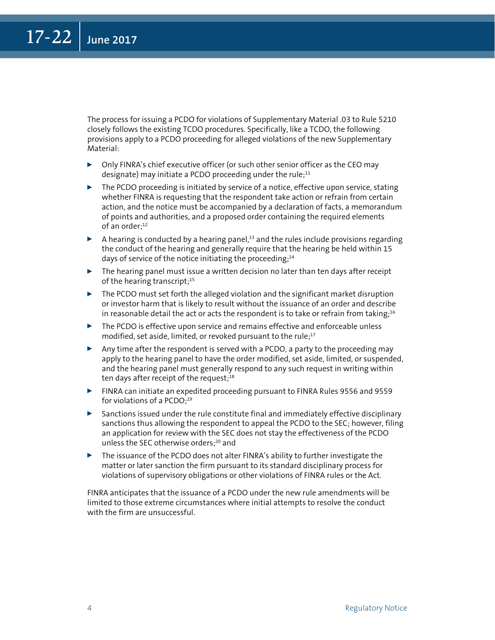The process for issuing a PCDO for violations of Supplementary Material .03 to Rule 5210 closely follows the existing TCDO procedures. Specifically, like a TCDO, the following provisions apply to a PCDO proceeding for alleged violations of the new Supplementary Material:

- $\triangleright$  Only FINRA's chief executive officer (or such other senior officer as the CEO may designate) may initiate a PCDO proceeding under the rule; $11$
- $\triangleright$  The PCDO proceeding is initiated by service of a notice, effective upon service, stating whether FINRA is requesting that the respondent take action or refrain from certain action, and the notice must be accompanied by a declaration of facts, a memorandum of points and authorities, and a proposed order containing the required elements of an order;<sup>12</sup>
- $\blacktriangleright$  A hearing is conducted by a hearing panel,<sup>13</sup> and the rules include provisions regarding the conduct of the hearing and generally require that the hearing be held within 15 days of service of the notice initiating the proceeding; $14$
- $\triangleright$  The hearing panel must issue a written decision no later than ten days after receipt of the hearing transcript;<sup>15</sup>
- $\triangleright$  The PCDO must set forth the alleged violation and the significant market disruption or investor harm that is likely to result without the issuance of an order and describe in reasonable detail the act or acts the respondent is to take or refrain from taking;<sup>16</sup>
- $\triangleright$  The PCDO is effective upon service and remains effective and enforceable unless modified, set aside, limited, or revoked pursuant to the rule;<sup>17</sup>
- $\triangleright$  Any time after the respondent is served with a PCDO, a party to the proceeding may apply to the hearing panel to have the order modified, set aside, limited, or suspended, and the hearing panel must generally respond to any such request in writing within ten days after receipt of the request; $18$
- <sup>0</sup> FINRA can initiate an expedited proceeding pursuant to FINRA Rules 9556 and 9559 for violations of a PCDO;<sup>19</sup>
- $\triangleright$  Sanctions issued under the rule constitute final and immediately effective disciplinary sanctions thus allowing the respondent to appeal the PCDO to the SEC; however, filing an application for review with the SEC does not stay the effectiveness of the PCDO unless the SEC otherwise orders;<sup>20</sup> and
- $\triangleright$  The issuance of the PCDO does not alter FINRA's ability to further investigate the matter or later sanction the firm pursuant to its standard disciplinary process for violations of supervisory obligations or other violations of FINRA rules or the Act.

FINRA anticipates that the issuance of a PCDO under the new rule amendments will be limited to those extreme circumstances where initial attempts to resolve the conduct with the firm are unsuccessful.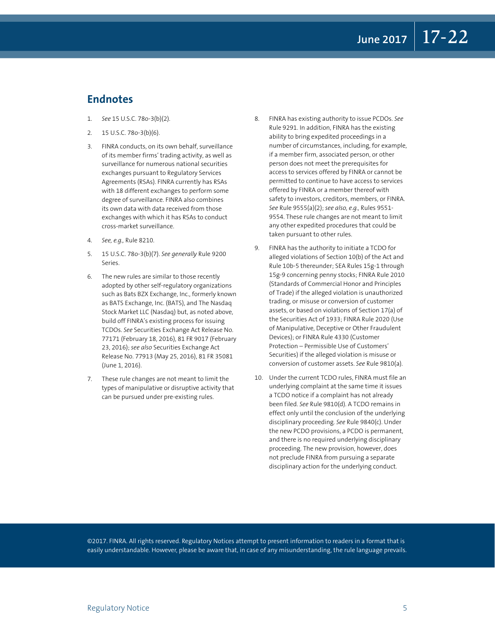#### **Endnotes**

- 1. *See* 15 U.S.C. 78o-3(b)(2).
- 2. 15 U.S.C. 78o-3(b)(6).
- 3. FINRA conducts, on its own behalf, surveillance of its member firms' trading activity, as well as surveillance for numerous national securities exchanges pursuant to Regulatory Services Agreements (RSAs). FINRA currently has RSAs with 18 different exchanges to perform some degree of surveillance. FINRA also combines its own data with data received from those exchanges with which it has RSAs to conduct cross-market surveillance.
- 4. *See, e.g.,* Rule 8210.
- 5. 15 U.S.C. 78o-3(b)(7). *See generally* Rule 9200 Series.
- 6. The new rules are similar to those recently adopted by other self-regulatory organizations such as Bats BZX Exchange, Inc., formerly known as BATS Exchange, Inc. (BATS), and The Nasdaq Stock Market LLC (Nasdaq) but, as noted above, build off FINRA's existing process for issuing TCDOs. *See* Securities Exchange Act Release No. 77171 (February 18, 2016), 81 FR 9017 (February 23, 2016); *see also* Securities Exchange Act Release No. 77913 (May 25, 2016), 81 FR 35081 (June 1, 2016).
- 7. These rule changes are not meant to limit the types of manipulative or disruptive activity that can be pursued under pre-existing rules.
- 8. FINRA has existing authority to issue PCDOs. *See* Rule 9291. In addition, FINRA has the existing ability to bring expedited proceedings in a number of circumstances, including, for example, if a member firm, associated person, or other person does not meet the prerequisites for access to services offered by FINRA or cannot be permitted to continue to have access to services offered by FINRA or a member thereof with safety to investors, creditors, members, or FINRA. *See* Rule 9555(a)(2); *see also, e.g.,* Rules 9551- 9554. These rule changes are not meant to limit any other expedited procedures that could be taken pursuant to other rules.
- 9. FINRA has the authority to initiate a TCDO for alleged violations of Section 10(b) of the Act and Rule 10b-5 thereunder; SEA Rules 15g-1 through 15g-9 concerning penny stocks; FINRA Rule 2010 (Standards of Commercial Honor and Principles of Trade) if the alleged violation is unauthorized trading, or misuse or conversion of customer assets, or based on violations of Section 17(a) of the Securities Act of 1933; FINRA Rule 2020 (Use of Manipulative, Deceptive or Other Fraudulent Devices); or FINRA Rule 4330 (Customer Protection – Permissible Use of Customers' Securities) if the alleged violation is misuse or conversion of customer assets. *See* Rule 9810(a).
- 10. Under the current TCDO rules, FINRA must file an underlying complaint at the same time it issues a TCDO notice if a complaint has not already been filed. *See* Rule 9810(d). A TCDO remains in effect only until the conclusion of the underlying disciplinary proceeding. *See* Rule 9840(c). Under the new PCDO provisions, a PCDO is permanent, and there is no required underlying disciplinary proceeding. The new provision, however, does not preclude FINRA from pursuing a separate disciplinary action for the underlying conduct.

©2017. FINRA. All rights reserved. Regulatory Notices attempt to present information to readers in a format that is easily understandable. However, please be aware that, in case of any misunderstanding, the rule language prevails.